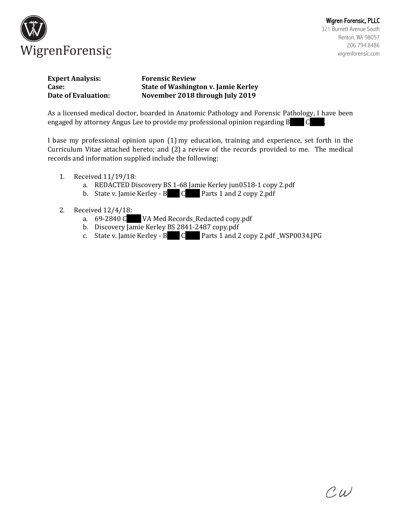

| <b>Expert Analysis:</b> | <b>Forensic Review</b>                     |
|-------------------------|--------------------------------------------|
| Case:                   | <b>State of Washington v. Jamie Kerley</b> |
| Date of Evaluation:     | November 2018 through July 2019            |

As a licensed medical doctor, boarded in Anatomic Pathology and Forensic Pathology, I have been engaged by attorney Angus Lee to provide my professional opinion regarding B  $\hskip 10.6cm$  C

I base my professional opinion upon  $(1)$  my education, training and experience, set forth in the Curriculum Vitae attached hereto; and (2) a review of the records provided to me. The medical records and information supplied include the following:

- 1. Received 11/19/18:
	- a. REDACTED Discovery BS 1-68 Jamie Kerley jun0518-1 copy 2.pdf
	- b. State v. Jamie Kerley - B C Parts 1 and 2 copy 2.pdf
- 2. Received  $12/4/18$ :
	- a. 69-2840 C VA Med Records\_Redacted copy.pdf
	- b. Discovery Jamie Kerley BS 2841-2487 copy.pdf
	- c. State v. Jamie Kerley - B C Parts 1 and 2 copy 2.pdf \_WSP0034.JPG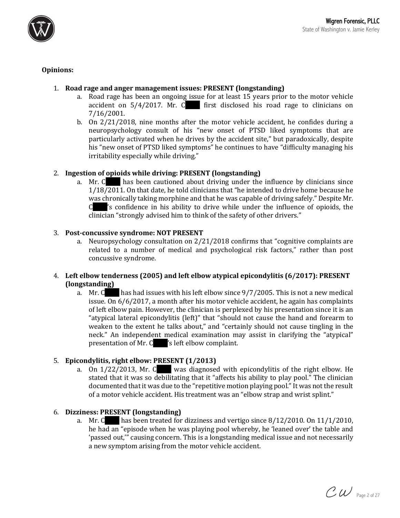

# **Opinions:**

# 1. Road rage and anger management issues: PRESENT (longstanding)

- a. Road rage has been an ongoing issue for at least 15 years prior to the motor vehicle accident on  $5/4/2017$ . Mr. C first disclosed his road rage to clinicians on 7/16/2001.
- b. On 2/21/2018, nine months after the motor vehicle accident, he confides during a neuropsychology consult of his "new onset of PTSD liked symptoms that are particularly activated when he drives by the accident site," but paradoxically, despite his "new onset of PTSD liked symptoms" he continues to have "difficulty managing his irritability especially while driving."

# 2. **Ingestion of opioids while driving: PRESENT (longstanding)**

a. Mr.  $C$  has been cautioned about driving under the influence by clinicians since  $1/18/2011$ . On that date, he told clinicians that "he intended to drive home because he was chronically taking morphine and that he was capable of driving safely." Despite Mr. C 's confidence in his ability to drive while under the influence of opioids, the clinician "strongly advised him to think of the safety of other drivers."

### 3. Post-concussive syndrome: NOT PRESENT

a. Neuropsychology consultation on  $2/21/2018$  confirms that "cognitive complaints are related to a number of medical and psychological risk factors," rather than post concussive syndrome.

# 4. Left elbow tenderness (2005) and left elbow atypical epicondylitis (6/2017): PRESENT **(longstanding)**

a. Mr. C has had issues with his left elbow since  $9/7/2005$ . This is not a new medical issue. On 6/6/2017, a month after his motor vehicle accident, he again has complaints of left elbow pain. However, the clinician is perplexed by his presentation since it is an "atypical lateral epicondylitis (left)" that "should not cause the hand and forearm to weaken to the extent he talks about," and "certainly should not cause tingling in the neck." An independent medical examination may assist in clarifying the "atypical" presentation of Mr.  $C$  's left elbow complaint.

### 5. **Epicondylitis, right elbow: PRESENT** (1/2013)

a. On  $1/22/2013$ , Mr. C was diagnosed with epicondylitis of the right elbow. He stated that it was so debilitating that it "affects his ability to play pool." The clinician documented that it was due to the "repetitive motion playing pool." It was not the result of a motor vehicle accident. His treatment was an "elbow strap and wrist splint."

### 6. **Dizziness: PRESENT (longstanding)**

a. Mr. C has been treated for dizziness and vertigo since  $8/12/2010$ . On  $11/1/2010$ , he had an "episode when he was playing pool whereby, he 'leaned over' the table and 'passed out," causing concern. This is a longstanding medical issue and not necessarily a new symptom arising from the motor vehicle accident.

 $\mathcal{CW}$  Page 2 of 27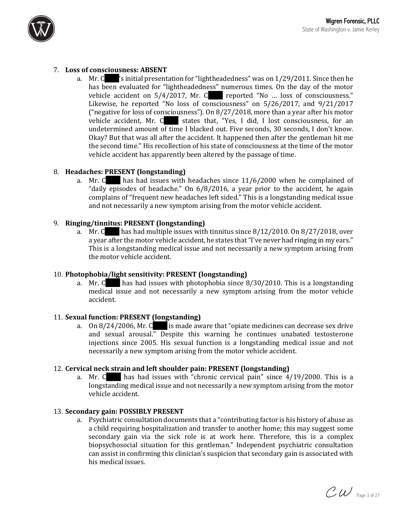

# 7. Loss of consciousness: ABSENT

a. Mr. C  $\gamma$ 's initial presentation for "lightheadedness" was on  $1/29/2011$ . Since then he has been evaluated for "lightheadedness" numerous times. On the day of the motor vehicle accident on  $5/4/2017$ , Mr. C reported "No ... loss of consciousness." Likewise, he reported "No loss of consciousness" on  $5/26/2017$ , and  $9/21/2017$ ("negative for loss of consciousness"). On  $8/27/2018$ , more than a year after his motor vehicle accident, Mr.  $\mathsf C$  states that, "Yes, I did, I lost consciousness, for an undetermined amount of time I blacked out. Five seconds, 30 seconds, I don't know. Okay? But that was all after the accident. It happened then after the gentleman hit me the second time." His recollection of his state of consciousness at the time of the motor vehicle accident has apparently been altered by the passage of time.

### 8. **Headaches: PRESENT (longstanding)**

a. Mr.  $\text{C}$  has had issues with headaches since 11/6/2000 when he complained of "daily episodes of headache." On  $6/8/2016$ , a year prior to the accident, he again complains of "frequent new headaches left sided." This is a longstanding medical issue and not necessarily a new symptom arising from the motor vehicle accident.

# 9. **Ringing/tinnitus: PRESENT (longstanding)**

a. Mr. C has had multiple issues with tinnitus since  $8/12/2010$ . On  $8/27/2018$ , over a year after the motor vehicle accident, he states that "I've never had ringing in my ears." This is a longstanding medical issue and not necessarily a new symptom arising from the motor vehicle accident.

### 10. Photophobia/light sensitivity: PRESENT (longstanding)

a. Mr. C has had issues with photophobia since  $8/30/2010$ . This is a longstanding medical issue and not necessarily a new symptom arising from the motor vehicle accident.

### 11. **Sexual function: PRESENT (longstanding)**

a. On  $8/24/2006$ , Mr. C is made aware that "opiate medicines can decrease sex drive" and sexual arousal." Despite this warning he continues unabated testosterone injections since 2005. His sexual function is a longstanding medical issue and not necessarily a new symptom arising from the motor vehicle accident.

### 12. **Cervical neck strain and left shoulder pain: PRESENT (longstanding)**

a. Mr.  $C$  has had issues with "chronic cervical pain" since  $4/19/2000$ . This is a longstanding medical issue and not necessarily a new symptom arising from the motor vehicle accident.

### 13. **Secondary gain: POSSIBLY PRESENT**

a. Psychiatric consultation documents that a "contributing factor is his history of abuse as a child requiring hospitalization and transfer to another home; this may suggest some secondary gain via the sick role is at work here. Therefore, this is a complex biopsychosocial situation for this gentleman." Independent psychiatric consultation can assist in confirming this clinician's suspicion that secondary gain is associated with his medical issues.

 $\mathcal{CW}$  Page 3 of 27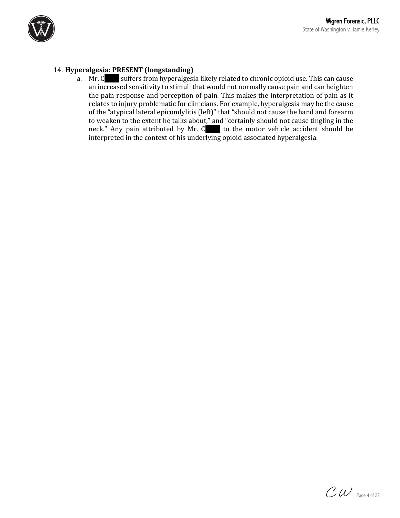

# 14. **Hyperalgesia: PRESENT (longstanding)**

a. Mr. C suffers from hyperalgesia likely related to chronic opioid use. This can cause an increased sensitivity to stimuli that would not normally cause pain and can heighten the pain response and perception of pain. This makes the interpretation of pain as it relates to injury problematic for clinicians. For example, hyperalgesia may be the cause of the "atypical lateral epicondylitis (left)" that "should not cause the hand and forearm to weaken to the extent he talks about," and "certainly should not cause tingling in the neck." Any pain attributed by Mr.  $C$  to the motor vehicle accident should be  $\frac{1}{\pi}$  interpreted in the context of his underlying opioid associated hyperalgesia.

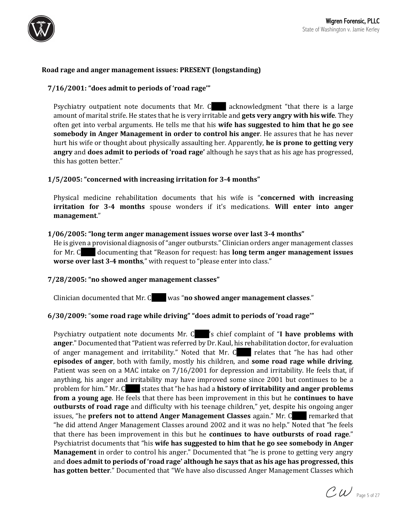

## **Road rage and anger management issues: PRESENT (longstanding)**

### **7/16/2001: "does admit to periods of 'road rage'"**

Psychiatry outpatient note documents that Mr.  $C$  acknowledgment "that there is a large amount of marital strife. He states that he is very irritable and **gets very angry with his wife**. They often get into verbal arguments. He tells me that his **wife has suggested to him that he go see somebody in Anger Management in order to control his anger**. He assures that he has never hurt his wife or thought about physically assaulting her. Apparently, **he is prone to getting very angry** and **does admit to periods of 'road rage'** although he says that as his age has progressed, this has gotten better."

### **1/5/2005: "concerned with increasing irritation for 3-4 months"**

Physical medicine rehabilitation documents that his wife is "concerned with increasing **irritation for 3-4 months** spouse wonders if it's medications. Will enter into anger **management**."

#### **1/06/2005: "long term anger management issues worse over last 3-4 months"**

He is given a provisional diagnosis of "anger outbursts." Clinician orders anger management classes for Mr. C documenting that "Reason for request: has **long term anger management issues worse over last 3-4 months**," with request to "please enter into class."

#### **7/28/2005: "no showed anger management classes"**

Clinician documented that Mr. C was "**no showed anger management classes**."

#### **6/30/2009:** "**some road rage while driving" "does admit to periods of 'road rage'"**

Psychiatry outpatient note documents Mr. C is chief complaint of "I have problems with **anger**." Documented that "Patient was referred by Dr. Kaul, his rehabilitation doctor, for evaluation of anger management and irritability." Noted that Mr. C relates that "he has had other **episodes of anger**, both with family, mostly his children, and **some road rage while driving**. Patient was seen on a MAC intake on 7/16/2001 for depression and irritability. He feels that, if anything, his anger and irritability may have improved some since 2001 but continues to be a problem for him." Mr. C states that "he has had a **history of irritability and anger problems from a young age**. He feels that there has been improvement in this but he **continues to have outbursts of road rage** and difficulty with his teenage children," yet, despite his ongoing anger **issues, "he prefers not to attend Anger Management Classes** again." Mr. C remarked that "he did attend Anger Management Classes around 2002 and it was no help." Noted that "he feels that there has been improvement in this but he **continues to have outbursts of road rage**." Psychiatrist documents that "his **wife has suggested to him that he go see somebody in Anger Management** in order to control his anger." Documented that "he is prone to getting very angry and **does** admit to periods of 'road rage' although he says that as his age has progressed, this **has gotten better**." Documented that "We have also discussed Anger Management Classes which

 $\mathcal{CW}$  Page 5 of 27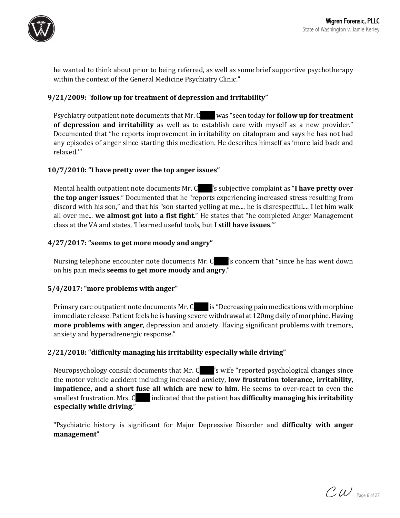

he wanted to think about prior to being referred, as well as some brief supportive psychotherapy within the context of the General Medicine Psychiatry Clinic."

### **9/21/2009:** "**follow up for treatment of depression and irritability"**

Psychiatry outpatient note documents that Mr. C was "seen today for **follow up for treatment of depression and irritability** as well as to establish care with myself as a new provider." Documented that "he reports improvement in irritability on citalopram and says he has not had any episodes of anger since starting this medication. He describes himself as 'more laid back and relaxed.'"

### **10/7/2010: "I have pretty over the top anger issues"**

Mental health outpatient note documents Mr. C <sup>2</sup>s subjective complaint as "I have pretty over **the top anger issues**." Documented that he "reports experiencing increased stress resulting from discord with his son," and that his "son started yelling at me.... he is disrespectful.... I let him walk all over me... **we almost got into a fist fight**." He states that "he completed Anger Management class at the VA and states, 'I learned useful tools, but I still have issues.""

### **4/27/2017: "seems to get more moody and angry"**

Nursing telephone encounter note documents Mr.  $C$  's concern that "since he has went down on his pain meds **seems to get more moody and angry**."

#### 5/4/2017: "more problems with anger"

Primary care outpatient note documents  $Mr.C$  is "Decreasing pain medications with morphine immediate release. Patient feels he is having severe withdrawal at 120mg daily of morphine. Having **more problems with anger**, depression and anxiety. Having significant problems with tremors, anxiety and hyperadrenergic response."

### **2/21/2018: "difficulty managing his irritability especially while driving"**

Neuropsychology consult documents that Mr.  $C \rightarrow$  's wife "reported psychological changes since the motor vehicle accident including increased anxiety, **low frustration tolerance, irritability, impatience, and a short fuse all which are new to him**. He seems to over-react to even the smallest frustration. Mrs. C indicated that the patient has **difficulty managing his irritability especially while driving**."

"Psychiatric history is significant for Major Depressive Disorder and **difficulty with anger management**"

 $\mathcal{CW}$  Page 6 of 27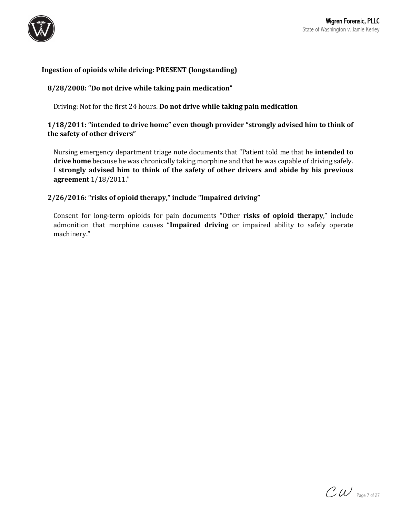

# **Ingestion of opioids while driving: PRESENT (longstanding)**

## **8/28/2008: "Do not drive while taking pain medication"**

Driving: Not for the first 24 hours. **Do not drive while taking pain medication** 

# **1/18/2011:** "intended to drive home" even though provider "strongly advised him to think of the safety of other drivers"

Nursing emergency department triage note documents that "Patient told me that he **intended to** drive home because he was chronically taking morphine and that he was capable of driving safely. I strongly advised him to think of the safety of other drivers and abide by his previous **agreement** 1/18/2011."

### **2/26/2016: "risks of opioid therapy," include "Impaired driving"**

Consent for long-term opioids for pain documents "Other risks of opioid therapy," include admonition that morphine causes "Impaired driving or impaired ability to safely operate machinery."

 $\mathcal{CW}$  Page 7 of 27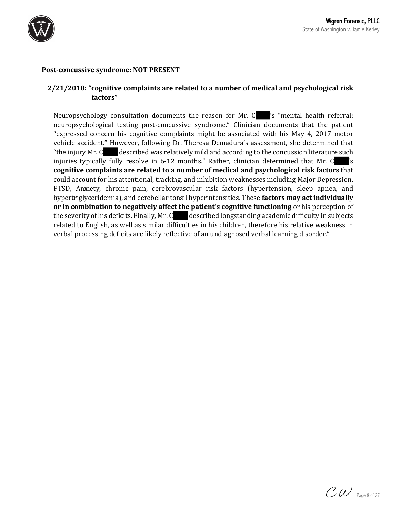

#### **Post-concussive syndrome: NOT PRESENT**

# **2/21/2018: "cognitive complaints are related to a number of medical and psychological risk factors"**

Neuropsychology consultation documents the reason for Mr. C <sup>'s</sup> "mental health referral: neuropsychological testing post-concussive syndrome." Clinician documents that the patient "expressed concern his cognitive complaints might be associated with his May  $4$ , 2017 motor vehicle accident." However, following Dr. Theresa Demadura's assessment, she determined that "the injury Mr.  $C$  described was relatively mild and according to the concussion literature such injuries typically fully resolve in  $6-12$  months." Rather, clinician determined that Mr. C  $\gamma$ 's **cognitive complaints are related to a number of medical and psychological risk factors** that could account for his attentional, tracking, and inhibition weaknesses including Major Depression, PTSD, Anxiety, chronic pain, cerebrovascular risk factors (hypertension, sleep apnea, and hypertriglyceridemia), and cerebellar tonsil hyperintensities. These factors may act individually or in combination to negatively affect the patient's cognitive functioning or his perception of the severity of his deficits. Finally, Mr.  $C$  described longstanding academic difficulty in subjects related to English, as well as similar difficulties in his children, therefore his relative weakness in verbal processing deficits are likely reflective of an undiagnosed verbal learning disorder."

 $\mathcal{CW}$  Page 8 of 27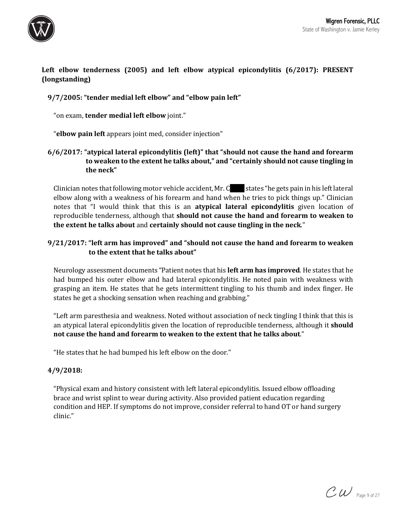

# **Left** elbow tenderness (2005) and left elbow atypical epicondylitis (6/2017): PRESENT **(longstanding)**

# **9/7/2005: "tender medial left elbow" and "elbow pain left"**

"on exam, **tender medial left elbow** joint."

"**elbow pain left** appears joint med, consider injection"

# **6/6/2017: "atypical lateral epicondylitis (left)" that "should not cause the hand and forearm** to weaken to the extent he talks about," and "certainly should not cause tingling in the neck"

Clinician notes that following motor vehicle accident, Mr.  $C$  states "he gets pain in his left lateral elbow along with a weakness of his forearm and hand when he tries to pick things up." Clinician notes that "I would think that this is an **atypical lateral epicondylitis** given location of reproducible tenderness, although that **should not cause the hand and forearm to weaken to the extent he talks about** and **certainly should not cause tingling in the neck**."

# **9/21/2017: "left arm has improved" and "should not cause the hand and forearm to weaken** to the extent that he talks about"

Neurology assessment documents "Patient notes that his **left arm has improved**. He states that he had bumped his outer elbow and had lateral epicondylitis. He noted pain with weakness with grasping an item. He states that he gets intermittent tingling to his thumb and index finger. He states he get a shocking sensation when reaching and grabbing."

"Left arm paresthesia and weakness. Noted without association of neck tingling I think that this is an atypical lateral epicondylitis given the location of reproducible tenderness, although it **should** not cause the hand and forearm to weaken to the extent that he talks about."

"He states that he had bumped his left elbow on the door."

### **4/9/2018:**

"Physical exam and history consistent with left lateral epicondylitis. Issued elbow offloading brace and wrist splint to wear during activity. Also provided patient education regarding condition and HEP. If symptoms do not improve, consider referral to hand OT or hand surgery clinic."

 $\mathcal{CW}$  Page 9 of 27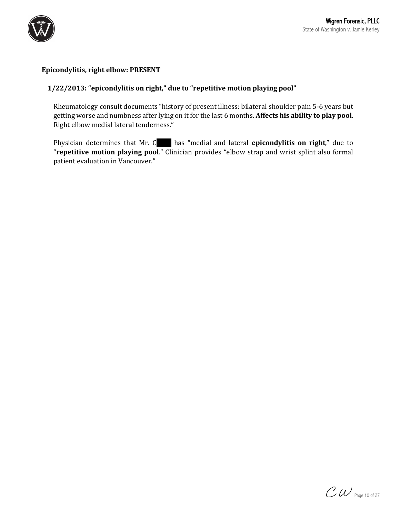

## Epicondylitis, right elbow: PRESENT

# 1/22/2013: "epicondylitis on right," due to "repetitive motion playing pool"

Rheumatology consult documents "history of present illness: bilateral shoulder pain 5-6 years but getting worse and numbness after lying on it for the last 6 months. Affects his ability to play pool. Right elbow medial lateral tenderness."

Physician determines that Mr. C has "medial and lateral **epicondylitis on right**," due to "**repetitive motion playing pool.**" Clinician provides "elbow strap and wrist splint also formal patient evaluation in Vancouver."

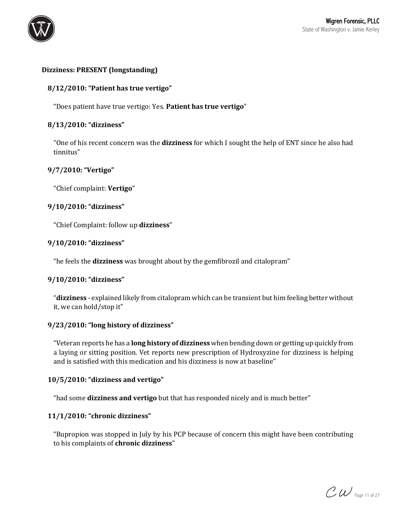

# **Dizziness: PRESENT (longstanding)**

## **8/12/2010: "Patient has true vertigo"**

"Does patient have true vertigo: Yes. Patient has true vertigo"

### **8/13/2010: "dizziness"**

"One of his recent concern was the **dizziness** for which I sought the help of ENT since he also had tinnitus"

### **9/7/2010: "Vertigo"**

"Chief complaint: **Vertigo**"

### **9/10/2010: "dizziness"**

"Chief Complaint: follow up dizziness"

### **9/10/2010: "dizziness"**

"he feels the **dizziness** was brought about by the gemfibrozil and citalopram"

#### **9/10/2010: "dizziness"**

"**dizziness** - explained likely from citalopram which can be transient but him feeling better without it, we can hold/stop it"

### **9/23/2010: "long history of dizziness"**

"Veteran reports he has a **long history of dizziness** when bending down or getting up quickly from a laying or sitting position. Vet reports new prescription of Hydroxyzine for dizziness is helping and is satisfied with this medication and his dizziness is now at baseline"

### **10/5/2010: "dizziness and vertigo"**

"had some **dizziness and vertigo** but that has responded nicely and is much better"

### **11/1/2010: "chronic dizziness"**

"Bupropion was stopped in July by his PCP because of concern this might have been contributing to his complaints of **chronic dizziness**"

 $\mathcal{CW}$  Page 11 of 27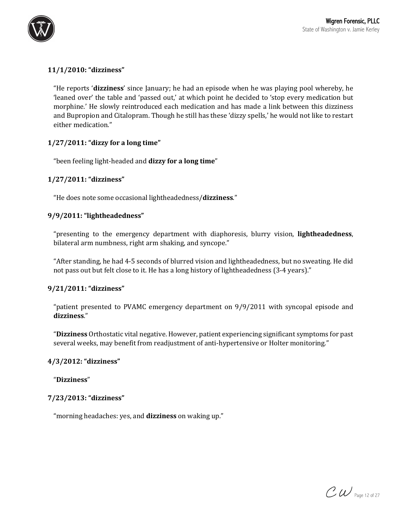

# **11/1/2010: "dizziness"**

"He reports **'dizziness'** since January; he had an episode when he was playing pool whereby, he 'leaned over' the table and 'passed out,' at which point he decided to 'stop every medication but morphine.' He slowly reintroduced each medication and has made a link between this dizziness and Bupropion and Citalopram. Though he still has these 'dizzy spells,' he would not like to restart either medication."

### **1/27/2011: "dizzy for a long time"**

"been feeling light-headed and dizzy for a long time"

# **1/27/2011: "dizziness"**

"He does note some occasional lightheadedness/dizziness."

### **9/9/2011: "lightheadedness"**

"presenting to the emergency department with diaphoresis, blurry vision, lightheadedness, bilateral arm numbness, right arm shaking, and syncope."

"After standing, he had 4-5 seconds of blurred vision and lightheadedness, but no sweating. He did not pass out but felt close to it. He has a long history of lightheadedness (3-4 years)."

### **9/21/2011: "dizziness"**

"patient presented to PVAMC emergency department on  $9/9/2011$  with syncopal episode and **dizziness**."

"Dizziness Orthostatic vital negative. However, patient experiencing significant symptoms for past several weeks, may benefit from readjustment of anti-hypertensive or Holter monitoring."

### **4/3/2012: "dizziness"**

"**Dizziness**"

### **7/23/2013: "dizziness"**

"morning headaches: yes, and dizziness on waking up."

 $CW$  Page 12 of 27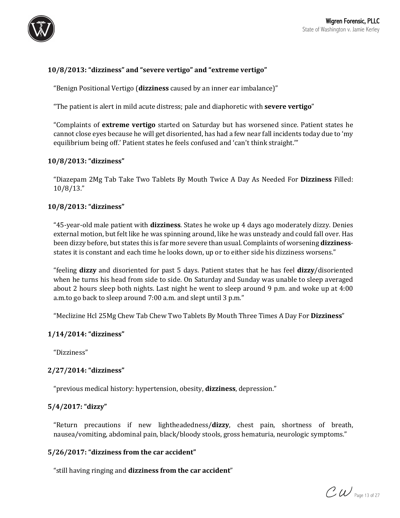

# 10/8/2013: "dizziness" and "severe vertigo" and "extreme vertigo"

"Benign Positional Vertigo (dizziness caused by an inner ear imbalance)"

"The patient is alert in mild acute distress; pale and diaphoretic with **severe vertigo**"

"Complaints of **extreme vertigo** started on Saturday but has worsened since. Patient states he cannot close eyes because he will get disoriented, has had a few near fall incidents today due to 'my equilibrium being off.' Patient states he feels confused and 'can't think straight.'"

### **10/8/2013: "dizziness"**

"Diazepam 2Mg Tab Take Two Tablets By Mouth Twice A Day As Needed For Dizziness Filled: 10/8/13."

### **10/8/2013: "dizziness"**

"45-year-old male patient with **dizziness**. States he woke up 4 days ago moderately dizzy. Denies external motion, but felt like he was spinning around, like he was unsteady and could fall over. Has been dizzy before, but states this is far more severe than usual. Complaints of worsening **dizziness**states it is constant and each time he looks down, up or to either side his dizziness worsens."

"feeling **dizzy** and disoriented for past 5 days. Patient states that he has feel **dizzy**/disoriented when he turns his head from side to side. On Saturday and Sunday was unable to sleep averaged about 2 hours sleep both nights. Last night he went to sleep around 9 p.m. and woke up at  $4:00$ a.m.to go back to sleep around 7:00 a.m. and slept until 3 p.m."

"Meclizine Hcl 25Mg Chew Tab Chew Two Tablets By Mouth Three Times A Day For Dizziness"

### **1/14/2014: "dizziness"**

"Dizziness"

### **2/27/2014: "dizziness"**

"previous medical history: hypertension, obesity, **dizziness**, depression."

### **5/4/2017: "dizzy"**

"Return precautions if new lightheadedness/**dizzy**, chest pain, shortness of breath, nausea/vomiting, abdominal pain, black/bloody stools, gross hematuria, neurologic symptoms."

#### 5/26/2017: "dizziness from the car accident"

"still having ringing and dizziness from the car accident"

 $\mathcal{CW}$  Page 13 of 27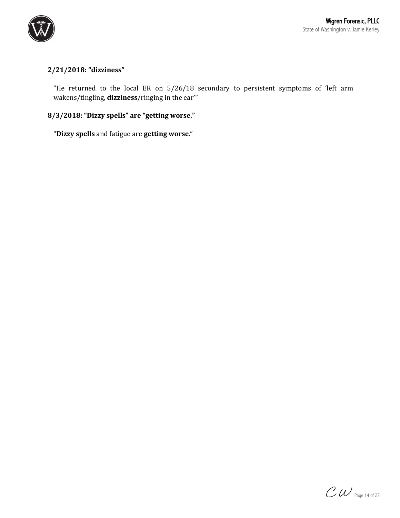

# **2/21/2018: "dizziness"**

"He returned to the local ER on 5/26/18 secondary to persistent symptoms of 'left arm wakens/tingling, **dizziness**/ringing in the ear"

# **8/3/2018: "Dizzy spells" are "getting worse."**

"**Dizzy spells** and fatigue are **getting worse**."

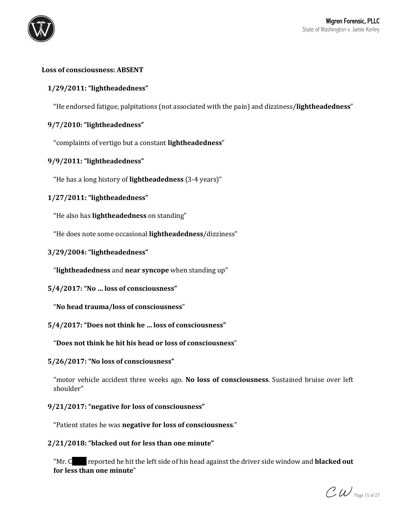

## Loss of consciousness: ABSENT

# **1/29/2011: "lightheadedness"**

"He endorsed fatigue, palpitations (not associated with the pain) and dizziness/lightheadedness"

## **9/7/2010: "lightheadedness"**

"complaints of vertigo but a constant **lightheadedness**"

### **9/9/2011: "lightheadedness"**

"He has a long history of lightheadedness (3-4 years)"

### **1/27/2011: "lightheadedness"**

"He also has **lightheadedness** on standing"

"He does note some occasional lightheadedness/dizziness"

#### **3/29/2004: "lightheadedness"**

"**lightheadedness** and **near syncope** when standing up"

#### 5/4/2017: "No ... loss of consciousness"

"**No head trauma/loss of consciousness**"

#### 5/4/2017: "Does not think he ... loss of consciousness"

"Does not think he hit his head or loss of consciousness"

#### 5/26/2017: "No loss of consciousness"

"motor vehicle accident three weeks ago. No loss of consciousness. Sustained bruise over left shoulder"

### 9/21/2017: "negative for loss of consciousness"

"Patient states he was **negative for loss of consciousness**."

#### 2/21/2018: "blacked out for less than one minute"

"Mr. C reported he hit the left side of his head against the driver side window and **blacked out** for less than one minute"

 $\mathcal{CW}$  Page 15 of 27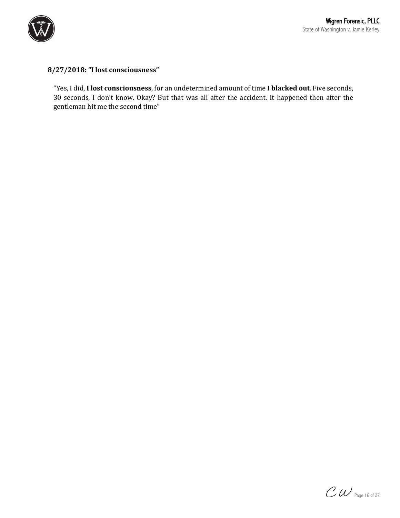

# **8/27/2018: "I lost consciousness"**

"Yes, I did, I lost consciousness, for an undetermined amount of time I blacked out. Five seconds, 30 seconds, I don't know. Okay? But that was all after the accident. It happened then after the gentleman hit me the second time"

 $\mathcal{CW}$  Page 16 of 27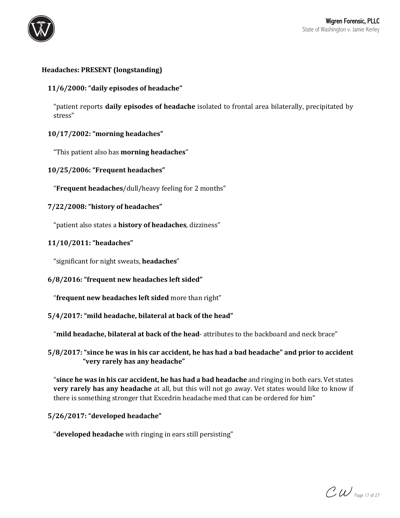

# **Headaches: PRESENT (longstanding)**

## 11/6/2000: "daily episodes of headache"

"patient reports **daily episodes of headache** isolated to frontal area bilaterally, precipitated by stress"

### **10/17/2002: "morning headaches"**

"This patient also has **morning headaches**"

**10/25/2006: "Frequent headaches"**

"**Frequent headaches**/dull/heavy feeling for 2 months"

### **7/22/2008: "history of headaches"**

"patient also states a **history of headaches**, dizziness"

### **11/10/2011: "headaches"**

"significant for night sweats, **headaches**"

### **6/8/2016: "frequent new headaches left sided"**

"**frequent new headaches left sided** more than right"

### 5/4/2017: "mild headache, bilateral at back of the head"

"mild headache, bilateral at back of the head- attributes to the backboard and neck brace"

# **5/8/2017:** "since he was in his car accident, he has had a bad headache" and prior to accident **"very rarely has any headache"**

"since he was in his car accident, he has had a bad headache and ringing in both ears. Vet states **very rarely has any headache** at all, but this will not go away. Vet states would like to know if there is something stronger that Excedrin headache med that can be ordered for him"

### **5/26/2017: "developed headache"**

"**developed headache** with ringing in ears still persisting"

 $\mathcal{CW}$  Page 17 of 27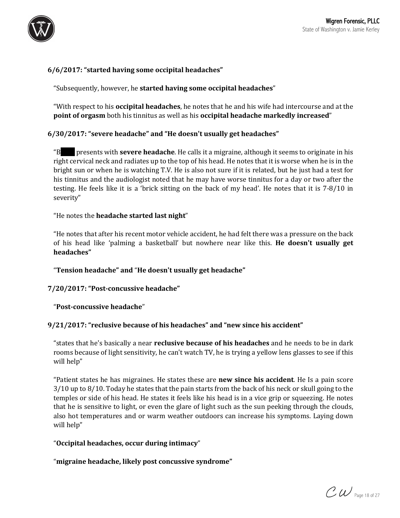

# **6/6/2017: "started having some occipital headaches"**

"Subsequently, however, he **started having some occipital headaches**"

"With respect to his **occipital headaches**, he notes that he and his wife had intercourse and at the **point of orgasm** both his tinnitus as well as his **occipital headache markedly increased**"

### **6/30/2017: "severe headache" and "He doesn't usually get headaches"**

"B presents with **severe headache**. He calls it a migraine, although it seems to originate in his right cervical neck and radiates up to the top of his head. He notes that it is worse when he is in the bright sun or when he is watching T.V. He is also not sure if it is related, but he just had a test for his tinnitus and the audiologist noted that he may have worse tinnitus for a day or two after the testing. He feels like it is a 'brick sitting on the back of my head'. He notes that it is 7-8/10 in severity"

### "He notes the **headache started last night**"

"He notes that after his recent motor vehicle accident, he had felt there was a pressure on the back of his head like 'palming a basketball' but nowhere near like this. He **doesn't usually get headaches"**

"**Tension headache" and** "**He doesn't usually get headache"**

### **7/20/2017: "Post-concussive headache"**

#### "**Post-concussive headache**"

### 9/21/2017: "reclusive because of his headaches" and "new since his accident"

"states that he's basically a near **reclusive because of his headaches** and he needs to be in dark rooms because of light sensitivity, he can't watch TV, he is trying a yellow lens glasses to see if this will help"

"Patient states he has migraines. He states these are **new since his accident**. He Is a pain score  $3/10$  up to  $8/10$ . Today he states that the pain starts from the back of his neck or skull going to the temples or side of his head. He states it feels like his head is in a vice grip or squeezing. He notes that he is sensitive to light, or even the glare of light such as the sun peeking through the clouds, also hot temperatures and or warm weather outdoors can increase his symptoms. Laying down will help"

### "**Occipital headaches, occur during intimacy**"

"migraine headache, likely post concussive syndrome"

 $\mathcal{CW}$  Page 18 of 27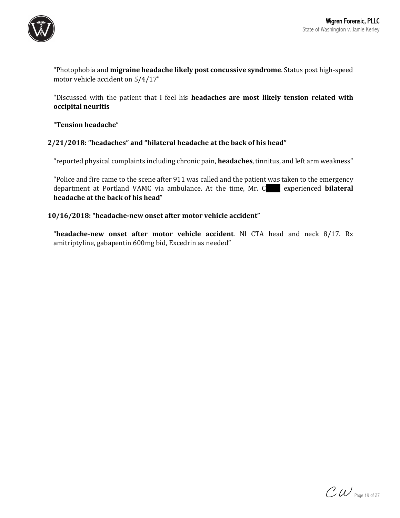

"Photophobia and migraine headache likely post concussive syndrome. Status post high-speed motor vehicle accident on  $5/4/17"$ 

"Discussed with the patient that I feel his **headaches are most likely tension related with occipital neuritis**

"**Tension headache**"

### 2/21/2018: "headaches" and "bilateral headache at the back of his head"

"reported physical complaints including chronic pain, headaches, tinnitus, and left arm weakness"

"Police and fire came to the scene after 911 was called and the patient was taken to the emergency department at Portland VAMC via ambulance. At the time, Mr. C experienced **bilateral** headache at the back of his head"

### 10/16/2018: "headache-new onset after motor vehicle accident"

"headache-new onset after motor vehicle accident. Nl CTA head and neck 8/17. Rx amitriptyline, gabapentin 600mg bid, Excedrin as needed"

 $\mathcal{CW}$  Page 19 of 27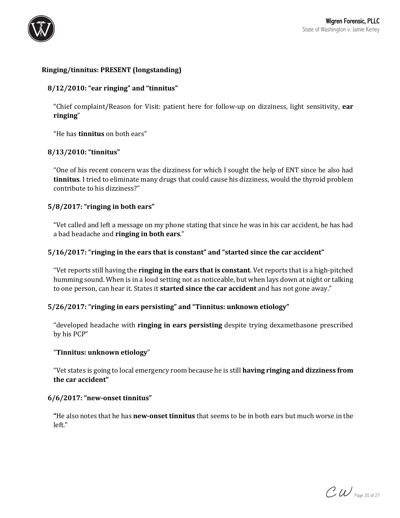

## **Ringing/tinnitus: PRESENT (longstanding)**

## **8/12/2010: "ear ringing" and "tinnitus"**

"Chief complaint/Reason for Visit: patient here for follow-up on dizziness, light sensitivity, ear **ringing**"

"He has **tinnitus** on both ears"

### **8/13/2010: "tinnitus"**

"One of his recent concern was the dizziness for which I sought the help of ENT since he also had **tinnitus**. I tried to eliminate many drugs that could cause his dizziness, would the thyroid problem contribute to his dizziness?"

### 5/8/2017: "ringing in both ears"

"Vet called and left a message on my phone stating that since he was in his car accident, he has had a bad headache and **ringing in both ears**."

### **5/16/2017: "ringing in the ears that is constant" and "started since the car accident"**

"Vet reports still having the **ringing in the ears that is constant**. Vet reports that is a high-pitched humming sound. When is in a loud setting not as noticeable, but when lays down at night or talking to one person, can hear it. States it **started since the car accident** and has not gone away."

#### 5/26/2017: "ringing in ears persisting" and "Tinnitus: unknown etiology"

"developed headache with **ringing in ears persisting** despite trying dexamethasone prescribed by his PCP"

#### "**Tinnitus: unknown etiology**"

"Vet states is going to local emergency room because he is still **having ringing and dizziness from** the car accident"

#### **6/6/2017: "new-onset tinnitus"**

**"He** also notes that he has **new-onset tinnitus** that seems to be in both ears but much worse in the left."

 $\mathcal{CW}$  Page 20 of 27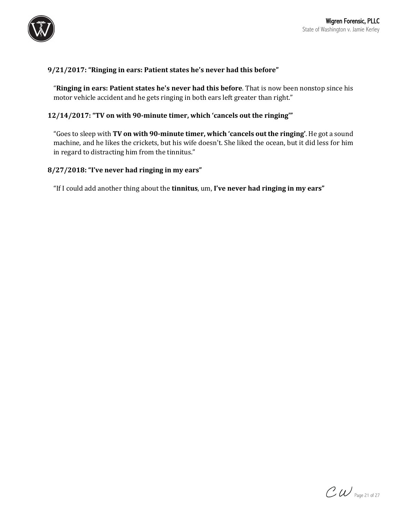

# 9/21/2017: "Ringing in ears: Patient states he's never had this before"

"Ringing in ears: Patient states he's never had this before. That is now been nonstop since his motor vehicle accident and he gets ringing in both ears left greater than right."

### **12/14/2017: "TV on with 90-minute timer, which 'cancels out the ringing'"**

"Goes to sleep with TV on with 90-minute timer, which 'cancels out the ringing'. He got a sound machine, and he likes the crickets, but his wife doesn't. She liked the ocean, but it did less for him in regard to distracting him from the tinnitus."

### 8/27/2018: "I've never had ringing in my ears"

"If I could add another thing about the **tinnitus**, um, I've never had ringing in my ears"

 $\mathcal{CW}$  Page 21 of 27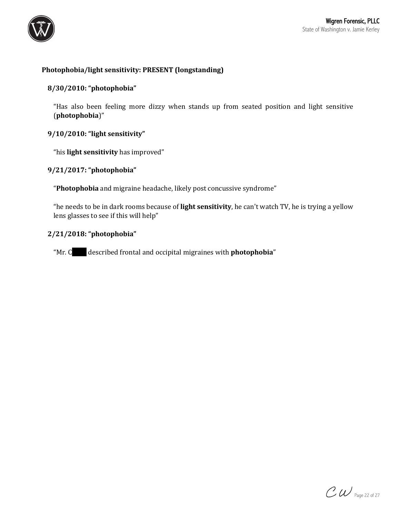

# **Photophobia/light sensitivity: PRESENT (longstanding)**

### **8/30/2010: "photophobia"**

"Has also been feeling more dizzy when stands up from seated position and light sensitive (**photophobia**)"

### **9/10/2010: "light sensitivity"**

"his **light sensitivity** has improved"

### **9/21/2017: "photophobia"**

"Photophobia and migraine headache, likely post concussive syndrome"

"he needs to be in dark rooms because of **light sensitivity**, he can't watch TV, he is trying a yellow lens glasses to see if this will help"

### **2/21/2018: "photophobia"**

"Mr. C described frontal and occipital migraines with **photophobia**"

 $\mathcal{CW}$  Page 22 of 27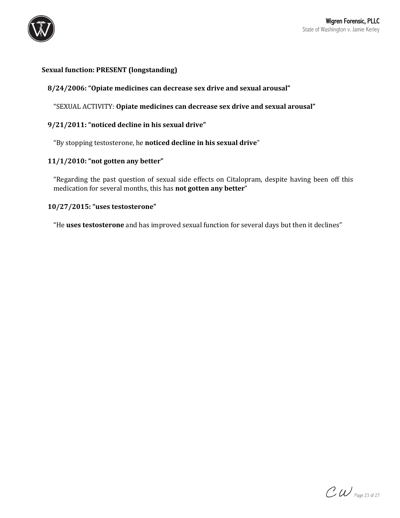

## **Sexual function: PRESENT (longstanding)**

## 8/24/2006: "Opiate medicines can decrease sex drive and sexual arousal"

"SEXUAL ACTIVITY: Opiate medicines can decrease sex drive and sexual arousal"

### 9/21/2011: "noticed decline in his sexual drive"

"By stopping testosterone, he noticed decline in his sexual drive"

### 11/1/2010: "not gotten any better"

"Regarding the past question of sexual side effects on Citalopram, despite having been off this medication for several months, this has **not gotten any better**"

### **10/27/2015: "uses testosterone"**

"He **uses testosterone** and has improved sexual function for several days but then it declines"

 $\mathcal{CW}$  Page 23 of 27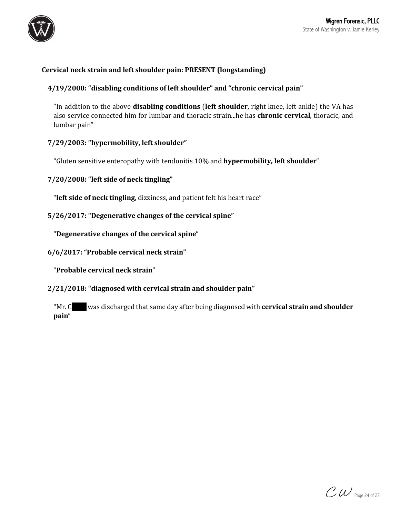

# Cervical neck strain and left shoulder pain: PRESENT (longstanding)

### 4/19/2000: "disabling conditions of left shoulder" and "chronic cervical pain"

"In addition to the above **disabling conditions** (left shoulder, right knee, left ankle) the VA has also service connected him for lumbar and thoracic strain...he has **chronic cervical**, thoracic, and lumbar pain"

### 7/29/2003: "hypermobility, left shoulder"

"Gluten sensitive enteropathy with tendonitis 10% and **hypermobility, left shoulder**"

# **7/20/2008: "left side of neck tingling"**

"left side of neck tingling, dizziness, and patient felt his heart race"

### **5/26/2017: "Degenerative changes of the cervical spine"**

"Degenerative changes of the cervical spine"

**6/6/2017: "Probable cervical neck strain"**

"**Probable cervical neck strain**"

2/21/2018: "diagnosed with cervical strain and shoulder pain"

"Mr. C was discharged that same day after being diagnosed with **cervical strain and shoulder pain**"

 $\mathcal{CW}$  Page 24 of 27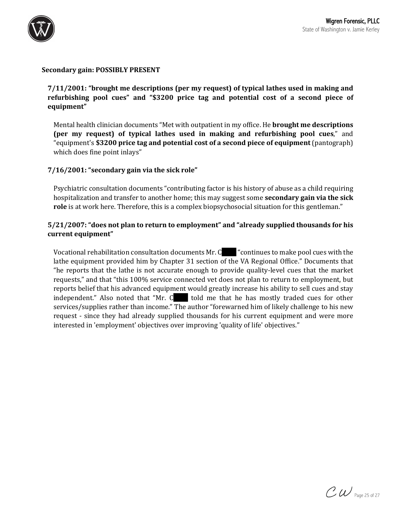

#### **Secondary gain: POSSIBLY PRESENT**

**7/11/2001:** "brought me descriptions (per my request) of typical lathes used in making and refurbishing pool cues" and "\$3200 price tag and potential cost of a second piece of **equipment"**

Mental health clinician documents "Met with outpatient in my office. He **brought me descriptions (per my request)** of typical lathes used in making and refurbishing pool cues," and "equipment's \$3200 price tag and potential cost of a second piece of equipment (pantograph) which does fine point inlays"

### **7/16/2001: "secondary gain via the sick role"**

Psychiatric consultation documents "contributing factor is his history of abuse as a child requiring hospitalization and transfer to another home; this may suggest some **secondary gain via the sick role** is at work here. Therefore, this is a complex biopsychosocial situation for this gentleman."

# 5/21/2007: "does not plan to return to employment" and "already supplied thousands for his **current equipment"**

Vocational rehabilitation consultation documents  $Mr. C$  "continues to make pool cues with the lathe equipment provided him by Chapter 31 section of the VA Regional Office." Documents that "he reports that the lathe is not accurate enough to provide quality-level cues that the market requests," and that "this 100% service connected vet does not plan to return to employment, but reports belief that his advanced equipment would greatly increase his ability to sell cues and stay independent." Also noted that "Mr. C bold me that he has mostly traded cues for other services/supplies rather than income." The author "forewarned him of likely challenge to his new request - since they had already supplied thousands for his current equipment and were more interested in 'employment' objectives over improving 'quality of life' objectives."

 $\mathcal{CW}$  Page 25 of 27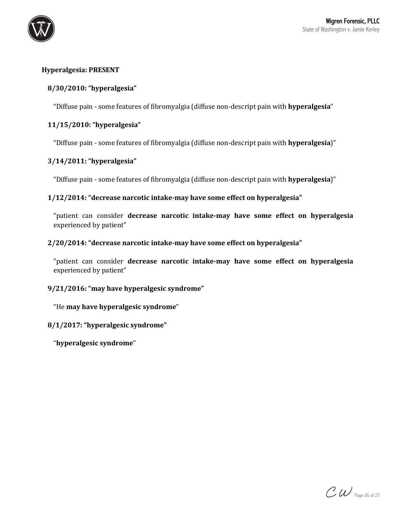

# **Hyperalgesia: PRESENT**

# **8/30/2010: "hyperalgesia"**

"Diffuse pain - some features of fibromyalgia (diffuse non-descript pain with **hyperalgesia**"

## **11/15/2010: "hyperalgesia"**

"Diffuse pain - some features of fibromyalgia (diffuse non-descript pain with **hyperalgesia**)"

# **3/14/2011: "hyperalgesia"**

"Diffuse pain - some features of fibromyalgia (diffuse non-descript pain with **hyperalgesia**)"

### 1/12/2014: "decrease narcotic intake-may have some effect on hyperalgesia"

"patient can consider decrease narcotic intake-may have some effect on hyperalgesia experienced by patient"

### **2/20/2014: "decrease narcotic intake-may have some effect on hyperalgesia"**

"patient can consider decrease narcotic intake-may have some effect on hyperalgesia experienced by patient"

### **9/21/2016: "may have hyperalgesic syndrome"**

"He **may have hyperalgesic syndrome**"

### **8/1/2017: "hyperalgesic syndrome"**

"**hyperalgesic syndrome**"

 $\mathcal{CW}$  Page 26 of 27